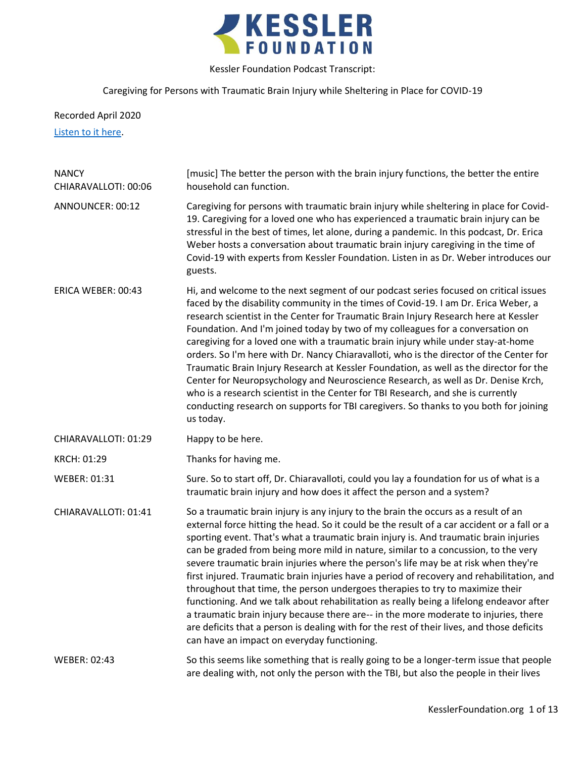

# Caregiving for Persons with Traumatic Brain Injury while Sheltering in Place for COVID-19

Recorded April 2020

[Listen to it here.](https://soundcloud.com/kesslerfoundation/caregiving-for-persons-with-traumatic-brain-injury-while-sheltering-in-place-for-covid-19)

| <b>NANCY</b><br>CHIARAVALLOTI: 00:06 | [music] The better the person with the brain injury functions, the better the entire<br>household can function.                                                                                                                                                                                                                                                                                                                                                                                                                                                                                                                                                                                                                                                                                                                                                                                                                                                        |
|--------------------------------------|------------------------------------------------------------------------------------------------------------------------------------------------------------------------------------------------------------------------------------------------------------------------------------------------------------------------------------------------------------------------------------------------------------------------------------------------------------------------------------------------------------------------------------------------------------------------------------------------------------------------------------------------------------------------------------------------------------------------------------------------------------------------------------------------------------------------------------------------------------------------------------------------------------------------------------------------------------------------|
| ANNOUNCER: 00:12                     | Caregiving for persons with traumatic brain injury while sheltering in place for Covid-<br>19. Caregiving for a loved one who has experienced a traumatic brain injury can be<br>stressful in the best of times, let alone, during a pandemic. In this podcast, Dr. Erica<br>Weber hosts a conversation about traumatic brain injury caregiving in the time of<br>Covid-19 with experts from Kessler Foundation. Listen in as Dr. Weber introduces our<br>guests.                                                                                                                                                                                                                                                                                                                                                                                                                                                                                                      |
| ERICA WEBER: 00:43                   | Hi, and welcome to the next segment of our podcast series focused on critical issues<br>faced by the disability community in the times of Covid-19. I am Dr. Erica Weber, a<br>research scientist in the Center for Traumatic Brain Injury Research here at Kessler<br>Foundation. And I'm joined today by two of my colleagues for a conversation on<br>caregiving for a loved one with a traumatic brain injury while under stay-at-home<br>orders. So I'm here with Dr. Nancy Chiaravalloti, who is the director of the Center for<br>Traumatic Brain Injury Research at Kessler Foundation, as well as the director for the<br>Center for Neuropsychology and Neuroscience Research, as well as Dr. Denise Krch,<br>who is a research scientist in the Center for TBI Research, and she is currently<br>conducting research on supports for TBI caregivers. So thanks to you both for joining<br>us today.                                                         |
| CHIARAVALLOTI: 01:29                 | Happy to be here.                                                                                                                                                                                                                                                                                                                                                                                                                                                                                                                                                                                                                                                                                                                                                                                                                                                                                                                                                      |
| KRCH: 01:29                          | Thanks for having me.                                                                                                                                                                                                                                                                                                                                                                                                                                                                                                                                                                                                                                                                                                                                                                                                                                                                                                                                                  |
| WEBER: 01:31                         | Sure. So to start off, Dr. Chiaravalloti, could you lay a foundation for us of what is a<br>traumatic brain injury and how does it affect the person and a system?                                                                                                                                                                                                                                                                                                                                                                                                                                                                                                                                                                                                                                                                                                                                                                                                     |
| CHIARAVALLOTI: 01:41                 | So a traumatic brain injury is any injury to the brain the occurs as a result of an<br>external force hitting the head. So it could be the result of a car accident or a fall or a<br>sporting event. That's what a traumatic brain injury is. And traumatic brain injuries<br>can be graded from being more mild in nature, similar to a concussion, to the very<br>severe traumatic brain injuries where the person's life may be at risk when they're<br>first injured. Traumatic brain injuries have a period of recovery and rehabilitation, and<br>throughout that time, the person undergoes therapies to try to maximize their<br>functioning. And we talk about rehabilitation as really being a lifelong endeavor after<br>a traumatic brain injury because there are-- in the more moderate to injuries, there<br>are deficits that a person is dealing with for the rest of their lives, and those deficits<br>can have an impact on everyday functioning. |
| WEBER: 02:43                         | So this seems like something that is really going to be a longer-term issue that people<br>are dealing with, not only the person with the TBI, but also the people in their lives                                                                                                                                                                                                                                                                                                                                                                                                                                                                                                                                                                                                                                                                                                                                                                                      |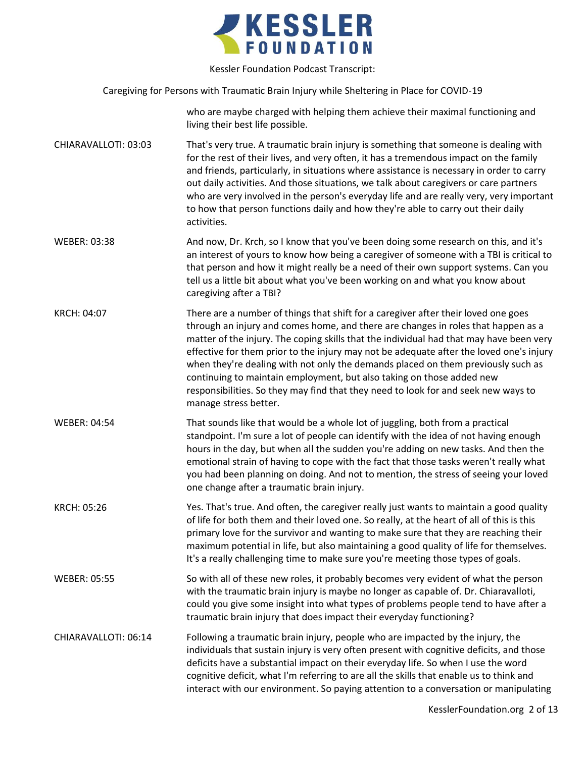

Caregiving for Persons with Traumatic Brain Injury while Sheltering in Place for COVID-19

who are maybe charged with helping them achieve their maximal functioning and living their best life possible.

- CHIARAVALLOTI: 03:03 That's very true. A traumatic brain injury is something that someone is dealing with for the rest of their lives, and very often, it has a tremendous impact on the family and friends, particularly, in situations where assistance is necessary in order to carry out daily activities. And those situations, we talk about caregivers or care partners who are very involved in the person's everyday life and are really very, very important to how that person functions daily and how they're able to carry out their daily activities.
- WEBER: 03:38 And now, Dr. Krch, so I know that you've been doing some research on this, and it's an interest of yours to know how being a caregiver of someone with a TBI is critical to that person and how it might really be a need of their own support systems. Can you tell us a little bit about what you've been working on and what you know about caregiving after a TBI?
- KRCH: 04:07 There are a number of things that shift for a caregiver after their loved one goes through an injury and comes home, and there are changes in roles that happen as a matter of the injury. The coping skills that the individual had that may have been very effective for them prior to the injury may not be adequate after the loved one's injury when they're dealing with not only the demands placed on them previously such as continuing to maintain employment, but also taking on those added new responsibilities. So they may find that they need to look for and seek new ways to manage stress better.
- WEBER: 04:54 That sounds like that would be a whole lot of juggling, both from a practical standpoint. I'm sure a lot of people can identify with the idea of not having enough hours in the day, but when all the sudden you're adding on new tasks. And then the emotional strain of having to cope with the fact that those tasks weren't really what you had been planning on doing. And not to mention, the stress of seeing your loved one change after a traumatic brain injury.
- KRCH: 05:26 Yes. That's true. And often, the caregiver really just wants to maintain a good quality of life for both them and their loved one. So really, at the heart of all of this is this primary love for the survivor and wanting to make sure that they are reaching their maximum potential in life, but also maintaining a good quality of life for themselves. It's a really challenging time to make sure you're meeting those types of goals.
- WEBER: 05:55 So with all of these new roles, it probably becomes very evident of what the person with the traumatic brain injury is maybe no longer as capable of. Dr. Chiaravalloti, could you give some insight into what types of problems people tend to have after a traumatic brain injury that does impact their everyday functioning?

## CHIARAVALLOTI: 06:14 Following a traumatic brain injury, people who are impacted by the injury, the individuals that sustain injury is very often present with cognitive deficits, and those deficits have a substantial impact on their everyday life. So when I use the word cognitive deficit, what I'm referring to are all the skills that enable us to think and interact with our environment. So paying attention to a conversation or manipulating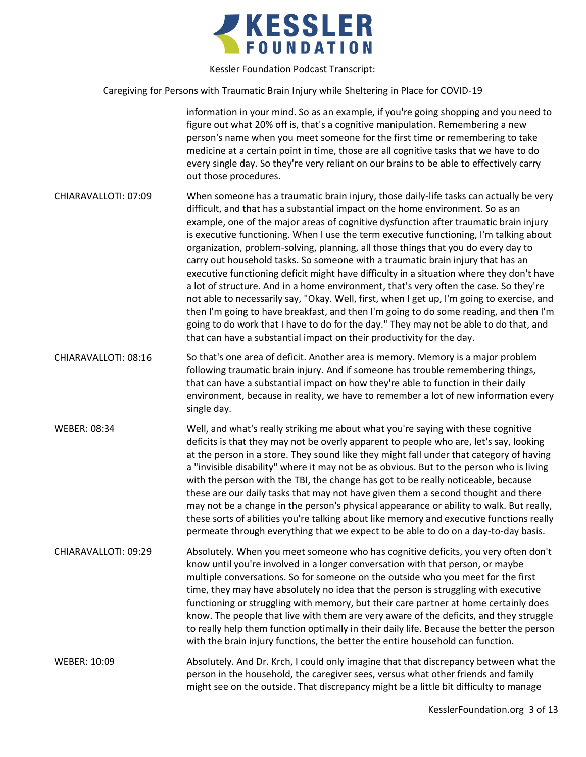

Caregiving for Persons with Traumatic Brain Injury while Sheltering in Place for COVID-19

information in your mind. So as an example, if you're going shopping and you need to figure out what 20% off is, that's a cognitive manipulation. Remembering a new person's name when you meet someone for the first time or remembering to take medicine at a certain point in time, those are all cognitive tasks that we have to do every single day. So they're very reliant on our brains to be able to effectively carry out those procedures.

- CHIARAVALLOTI: 07:09 When someone has a traumatic brain injury, those daily-life tasks can actually be very difficult, and that has a substantial impact on the home environment. So as an example, one of the major areas of cognitive dysfunction after traumatic brain injury is executive functioning. When I use the term executive functioning, I'm talking about organization, problem-solving, planning, all those things that you do every day to carry out household tasks. So someone with a traumatic brain injury that has an executive functioning deficit might have difficulty in a situation where they don't have a lot of structure. And in a home environment, that's very often the case. So they're not able to necessarily say, "Okay. Well, first, when I get up, I'm going to exercise, and then I'm going to have breakfast, and then I'm going to do some reading, and then I'm going to do work that I have to do for the day." They may not be able to do that, and that can have a substantial impact on their productivity for the day.
- CHIARAVALLOTI: 08:16 So that's one area of deficit. Another area is memory. Memory is a major problem following traumatic brain injury. And if someone has trouble remembering things, that can have a substantial impact on how they're able to function in their daily environment, because in reality, we have to remember a lot of new information every single day.
- WEBER: 08:34 Well, and what's really striking me about what you're saying with these cognitive deficits is that they may not be overly apparent to people who are, let's say, looking at the person in a store. They sound like they might fall under that category of having a "invisible disability" where it may not be as obvious. But to the person who is living with the person with the TBI, the change has got to be really noticeable, because these are our daily tasks that may not have given them a second thought and there may not be a change in the person's physical appearance or ability to walk. But really, these sorts of abilities you're talking about like memory and executive functions really permeate through everything that we expect to be able to do on a day-to-day basis.
- CHIARAVALLOTI: 09:29 Absolutely. When you meet someone who has cognitive deficits, you very often don't know until you're involved in a longer conversation with that person, or maybe multiple conversations. So for someone on the outside who you meet for the first time, they may have absolutely no idea that the person is struggling with executive functioning or struggling with memory, but their care partner at home certainly does know. The people that live with them are very aware of the deficits, and they struggle to really help them function optimally in their daily life. Because the better the person with the brain injury functions, the better the entire household can function.

WEBER: 10:09 Absolutely. And Dr. Krch, I could only imagine that that discrepancy between what the person in the household, the caregiver sees, versus what other friends and family might see on the outside. That discrepancy might be a little bit difficulty to manage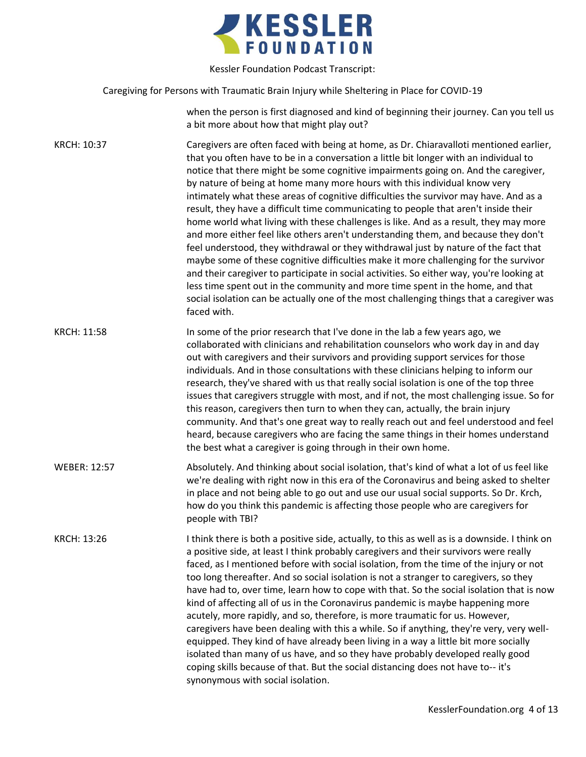

Caregiving for Persons with Traumatic Brain Injury while Sheltering in Place for COVID-19

when the person is first diagnosed and kind of beginning their journey. Can you tell us a bit more about how that might play out?

KRCH: 10:37 Caregivers are often faced with being at home, as Dr. Chiaravalloti mentioned earlier, that you often have to be in a conversation a little bit longer with an individual to notice that there might be some cognitive impairments going on. And the caregiver, by nature of being at home many more hours with this individual know very intimately what these areas of cognitive difficulties the survivor may have. And as a result, they have a difficult time communicating to people that aren't inside their home world what living with these challenges is like. And as a result, they may more and more either feel like others aren't understanding them, and because they don't feel understood, they withdrawal or they withdrawal just by nature of the fact that maybe some of these cognitive difficulties make it more challenging for the survivor and their caregiver to participate in social activities. So either way, you're looking at less time spent out in the community and more time spent in the home, and that social isolation can be actually one of the most challenging things that a caregiver was faced with. KRCH: 11:58 In some of the prior research that I've done in the lab a few years ago, we

collaborated with clinicians and rehabilitation counselors who work day in and day out with caregivers and their survivors and providing support services for those individuals. And in those consultations with these clinicians helping to inform our research, they've shared with us that really social isolation is one of the top three issues that caregivers struggle with most, and if not, the most challenging issue. So for this reason, caregivers then turn to when they can, actually, the brain injury community. And that's one great way to really reach out and feel understood and feel heard, because caregivers who are facing the same things in their homes understand the best what a caregiver is going through in their own home.

WEBER: 12:57 Absolutely. And thinking about social isolation, that's kind of what a lot of us feel like we're dealing with right now in this era of the Coronavirus and being asked to shelter in place and not being able to go out and use our usual social supports. So Dr. Krch, how do you think this pandemic is affecting those people who are caregivers for people with TBI?

KRCH: 13:26 I think there is both a positive side, actually, to this as well as is a downside. I think on a positive side, at least I think probably caregivers and their survivors were really faced, as I mentioned before with social isolation, from the time of the injury or not too long thereafter. And so social isolation is not a stranger to caregivers, so they have had to, over time, learn how to cope with that. So the social isolation that is now kind of affecting all of us in the Coronavirus pandemic is maybe happening more acutely, more rapidly, and so, therefore, is more traumatic for us. However, caregivers have been dealing with this a while. So if anything, they're very, very wellequipped. They kind of have already been living in a way a little bit more socially isolated than many of us have, and so they have probably developed really good coping skills because of that. But the social distancing does not have to-- it's synonymous with social isolation.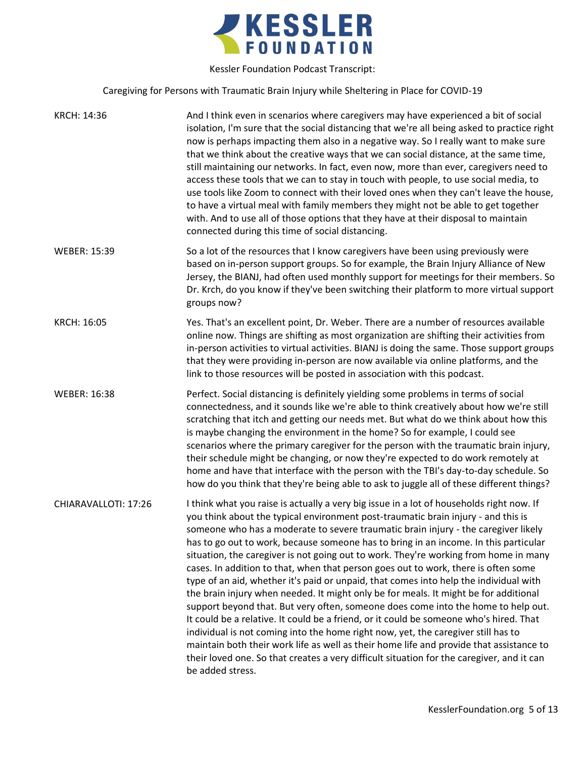

Caregiving for Persons with Traumatic Brain Injury while Sheltering in Place for COVID-19

| KRCH: 14:36          | And I think even in scenarios where caregivers may have experienced a bit of social<br>isolation, I'm sure that the social distancing that we're all being asked to practice right<br>now is perhaps impacting them also in a negative way. So I really want to make sure<br>that we think about the creative ways that we can social distance, at the same time,<br>still maintaining our networks. In fact, even now, more than ever, caregivers need to<br>access these tools that we can to stay in touch with people, to use social media, to<br>use tools like Zoom to connect with their loved ones when they can't leave the house,<br>to have a virtual meal with family members they might not be able to get together<br>with. And to use all of those options that they have at their disposal to maintain<br>connected during this time of social distancing.                                                                                                                                                                                                                                                                                                                                 |
|----------------------|------------------------------------------------------------------------------------------------------------------------------------------------------------------------------------------------------------------------------------------------------------------------------------------------------------------------------------------------------------------------------------------------------------------------------------------------------------------------------------------------------------------------------------------------------------------------------------------------------------------------------------------------------------------------------------------------------------------------------------------------------------------------------------------------------------------------------------------------------------------------------------------------------------------------------------------------------------------------------------------------------------------------------------------------------------------------------------------------------------------------------------------------------------------------------------------------------------|
| <b>WEBER: 15:39</b>  | So a lot of the resources that I know caregivers have been using previously were<br>based on in-person support groups. So for example, the Brain Injury Alliance of New<br>Jersey, the BIANJ, had often used monthly support for meetings for their members. So<br>Dr. Krch, do you know if they've been switching their platform to more virtual support<br>groups now?                                                                                                                                                                                                                                                                                                                                                                                                                                                                                                                                                                                                                                                                                                                                                                                                                                   |
| KRCH: 16:05          | Yes. That's an excellent point, Dr. Weber. There are a number of resources available<br>online now. Things are shifting as most organization are shifting their activities from<br>in-person activities to virtual activities. BIANJ is doing the same. Those support groups<br>that they were providing in-person are now available via online platforms, and the<br>link to those resources will be posted in association with this podcast.                                                                                                                                                                                                                                                                                                                                                                                                                                                                                                                                                                                                                                                                                                                                                             |
| <b>WEBER: 16:38</b>  | Perfect. Social distancing is definitely yielding some problems in terms of social<br>connectedness, and it sounds like we're able to think creatively about how we're still<br>scratching that itch and getting our needs met. But what do we think about how this<br>is maybe changing the environment in the home? So for example, I could see<br>scenarios where the primary caregiver for the person with the traumatic brain injury,<br>their schedule might be changing, or now they're expected to do work remotely at<br>home and have that interface with the person with the TBI's day-to-day schedule. So<br>how do you think that they're being able to ask to juggle all of these different things?                                                                                                                                                                                                                                                                                                                                                                                                                                                                                          |
| CHIARAVALLOTI: 17:26 | I think what you raise is actually a very big issue in a lot of households right now. If<br>you think about the typical environment post-traumatic brain injury - and this is<br>someone who has a moderate to severe traumatic brain injury - the caregiver likely<br>has to go out to work, because someone has to bring in an income. In this particular<br>situation, the caregiver is not going out to work. They're working from home in many<br>cases. In addition to that, when that person goes out to work, there is often some<br>type of an aid, whether it's paid or unpaid, that comes into help the individual with<br>the brain injury when needed. It might only be for meals. It might be for additional<br>support beyond that. But very often, someone does come into the home to help out.<br>It could be a relative. It could be a friend, or it could be someone who's hired. That<br>individual is not coming into the home right now, yet, the caregiver still has to<br>maintain both their work life as well as their home life and provide that assistance to<br>their loved one. So that creates a very difficult situation for the caregiver, and it can<br>be added stress. |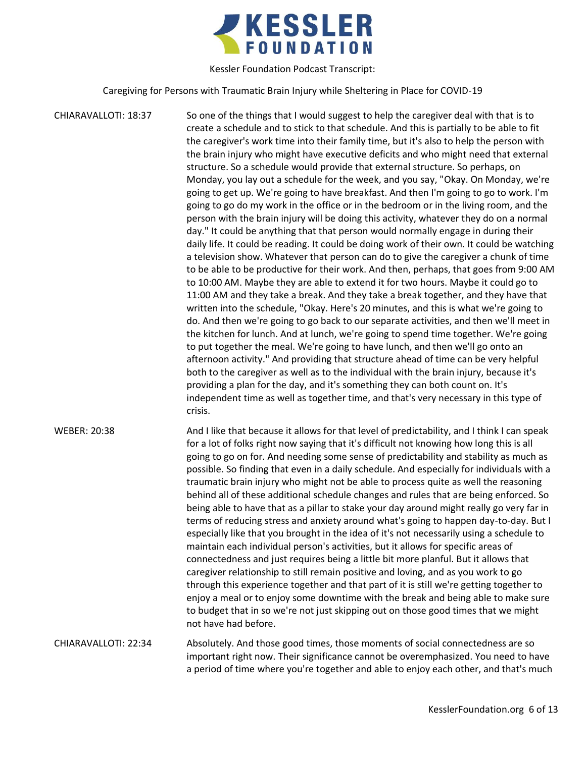

Caregiving for Persons with Traumatic Brain Injury while Sheltering in Place for COVID-19

CHIARAVALLOTI: 18:37 So one of the things that I would suggest to help the caregiver deal with that is to create a schedule and to stick to that schedule. And this is partially to be able to fit the caregiver's work time into their family time, but it's also to help the person with the brain injury who might have executive deficits and who might need that external structure. So a schedule would provide that external structure. So perhaps, on Monday, you lay out a schedule for the week, and you say, "Okay. On Monday, we're going to get up. We're going to have breakfast. And then I'm going to go to work. I'm going to go do my work in the office or in the bedroom or in the living room, and the person with the brain injury will be doing this activity, whatever they do on a normal day." It could be anything that that person would normally engage in during their daily life. It could be reading. It could be doing work of their own. It could be watching a television show. Whatever that person can do to give the caregiver a chunk of time to be able to be productive for their work. And then, perhaps, that goes from 9:00 AM to 10:00 AM. Maybe they are able to extend it for two hours. Maybe it could go to 11:00 AM and they take a break. And they take a break together, and they have that written into the schedule, "Okay. Here's 20 minutes, and this is what we're going to do. And then we're going to go back to our separate activities, and then we'll meet in the kitchen for lunch. And at lunch, we're going to spend time together. We're going to put together the meal. We're going to have lunch, and then we'll go onto an afternoon activity." And providing that structure ahead of time can be very helpful both to the caregiver as well as to the individual with the brain injury, because it's providing a plan for the day, and it's something they can both count on. It's independent time as well as together time, and that's very necessary in this type of crisis. WEBER: 20:38 And I like that because it allows for that level of predictability, and I think I can speak for a lot of folks right now saying that it's difficult not knowing how long this is all going to go on for. And needing some sense of predictability and stability as much as possible. So finding that even in a daily schedule. And especially for individuals with a traumatic brain injury who might not be able to process quite as well the reasoning behind all of these additional schedule changes and rules that are being enforced. So being able to have that as a pillar to stake your day around might really go very far in terms of reducing stress and anxiety around what's going to happen day-to-day. But I especially like that you brought in the idea of it's not necessarily using a schedule to

maintain each individual person's activities, but it allows for specific areas of connectedness and just requires being a little bit more planful. But it allows that caregiver relationship to still remain positive and loving, and as you work to go through this experience together and that part of it is still we're getting together to enjoy a meal or to enjoy some downtime with the break and being able to make sure to budget that in so we're not just skipping out on those good times that we might not have had before.

CHIARAVALLOTI: 22:34 Absolutely. And those good times, those moments of social connectedness are so important right now. Their significance cannot be overemphasized. You need to have a period of time where you're together and able to enjoy each other, and that's much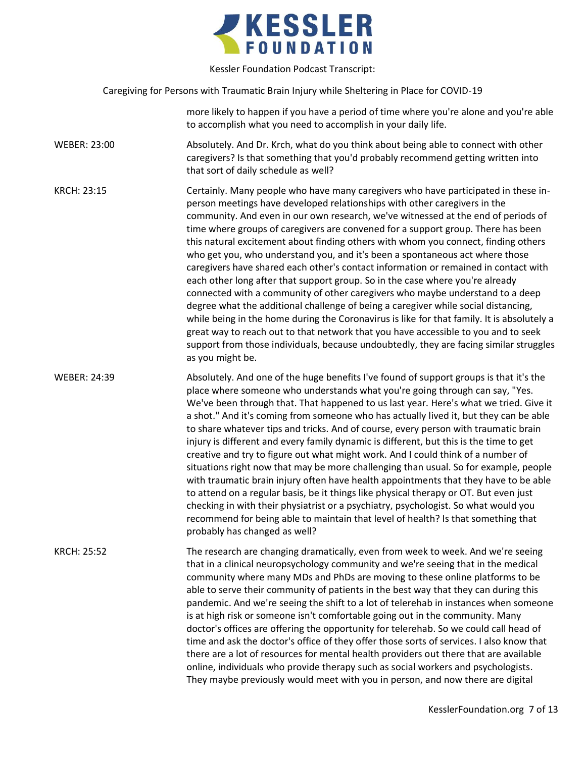

Caregiving for Persons with Traumatic Brain Injury while Sheltering in Place for COVID-19

more likely to happen if you have a period of time where you're alone and you're able to accomplish what you need to accomplish in your daily life.

WEBER: 23:00 Absolutely. And Dr. Krch, what do you think about being able to connect with other caregivers? Is that something that you'd probably recommend getting written into that sort of daily schedule as well?

KRCH: 23:15 Certainly. Many people who have many caregivers who have participated in these inperson meetings have developed relationships with other caregivers in the community. And even in our own research, we've witnessed at the end of periods of time where groups of caregivers are convened for a support group. There has been this natural excitement about finding others with whom you connect, finding others who get you, who understand you, and it's been a spontaneous act where those caregivers have shared each other's contact information or remained in contact with each other long after that support group. So in the case where you're already connected with a community of other caregivers who maybe understand to a deep degree what the additional challenge of being a caregiver while social distancing, while being in the home during the Coronavirus is like for that family. It is absolutely a great way to reach out to that network that you have accessible to you and to seek support from those individuals, because undoubtedly, they are facing similar struggles as you might be.

WEBER: 24:39 Absolutely. And one of the huge benefits I've found of support groups is that it's the place where someone who understands what you're going through can say, "Yes. We've been through that. That happened to us last year. Here's what we tried. Give it a shot." And it's coming from someone who has actually lived it, but they can be able to share whatever tips and tricks. And of course, every person with traumatic brain injury is different and every family dynamic is different, but this is the time to get creative and try to figure out what might work. And I could think of a number of situations right now that may be more challenging than usual. So for example, people with traumatic brain injury often have health appointments that they have to be able to attend on a regular basis, be it things like physical therapy or OT. But even just checking in with their physiatrist or a psychiatry, psychologist. So what would you recommend for being able to maintain that level of health? Is that something that probably has changed as well?

KRCH: 25:52 The research are changing dramatically, even from week to week. And we're seeing that in a clinical neuropsychology community and we're seeing that in the medical community where many MDs and PhDs are moving to these online platforms to be able to serve their community of patients in the best way that they can during this pandemic. And we're seeing the shift to a lot of telerehab in instances when someone is at high risk or someone isn't comfortable going out in the community. Many doctor's offices are offering the opportunity for telerehab. So we could call head of time and ask the doctor's office of they offer those sorts of services. I also know that there are a lot of resources for mental health providers out there that are available online, individuals who provide therapy such as social workers and psychologists. They maybe previously would meet with you in person, and now there are digital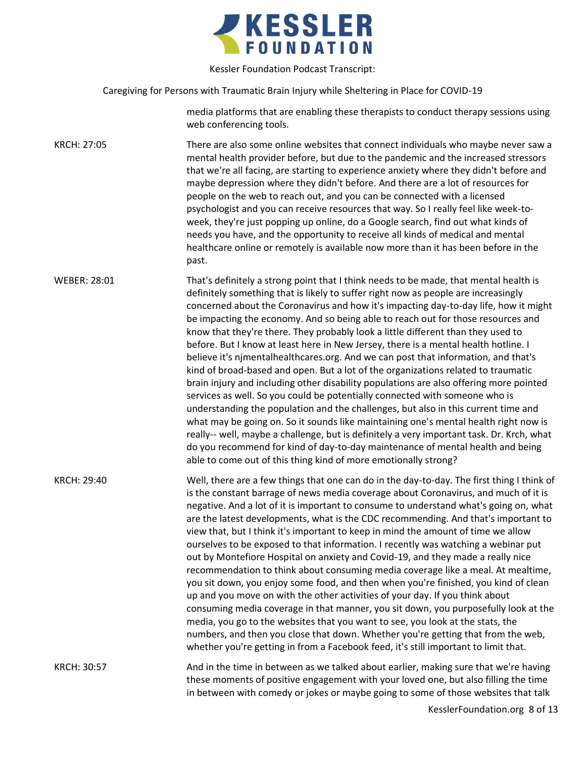

Caregiving for Persons with Traumatic Brain Injury while Sheltering in Place for COVID-19

media platforms that are enabling these therapists to conduct therapy sessions using web conferencing tools.

KRCH: 27:05 There are also some online websites that connect individuals who maybe never saw a mental health provider before, but due to the pandemic and the increased stressors that we're all facing, are starting to experience anxiety where they didn't before and maybe depression where they didn't before. And there are a lot of resources for people on the web to reach out, and you can be connected with a licensed psychologist and you can receive resources that way. So I really feel like week-toweek, they're just popping up online, do a Google search, find out what kinds of needs you have, and the opportunity to receive all kinds of medical and mental healthcare online or remotely is available now more than it has been before in the past.

WEBER: 28:01 That's definitely a strong point that I think needs to be made, that mental health is definitely something that is likely to suffer right now as people are increasingly concerned about the Coronavirus and how it's impacting day-to-day life, how it might be impacting the economy. And so being able to reach out for those resources and know that they're there. They probably look a little different than they used to before. But I know at least here in New Jersey, there is a mental health hotline. I believe it's njmentalhealthcares.org. And we can post that information, and that's kind of broad-based and open. But a lot of the organizations related to traumatic brain injury and including other disability populations are also offering more pointed services as well. So you could be potentially connected with someone who is understanding the population and the challenges, but also in this current time and what may be going on. So it sounds like maintaining one's mental health right now is really-- well, maybe a challenge, but is definitely a very important task. Dr. Krch, what do you recommend for kind of day-to-day maintenance of mental health and being able to come out of this thing kind of more emotionally strong?

KRCH: 29:40 Well, there are a few things that one can do in the day-to-day. The first thing I think of is the constant barrage of news media coverage about Coronavirus, and much of it is negative. And a lot of it is important to consume to understand what's going on, what are the latest developments, what is the CDC recommending. And that's important to view that, but I think it's important to keep in mind the amount of time we allow ourselves to be exposed to that information. I recently was watching a webinar put out by Montefiore Hospital on anxiety and Covid-19, and they made a really nice recommendation to think about consuming media coverage like a meal. At mealtime, you sit down, you enjoy some food, and then when you're finished, you kind of clean up and you move on with the other activities of your day. If you think about consuming media coverage in that manner, you sit down, you purposefully look at the media, you go to the websites that you want to see, you look at the stats, the numbers, and then you close that down. Whether you're getting that from the web, whether you're getting in from a Facebook feed, it's still important to limit that.

KRCH: 30:57 And in the time in between as we talked about earlier, making sure that we're having these moments of positive engagement with your loved one, but also filling the time in between with comedy or jokes or maybe going to some of those websites that talk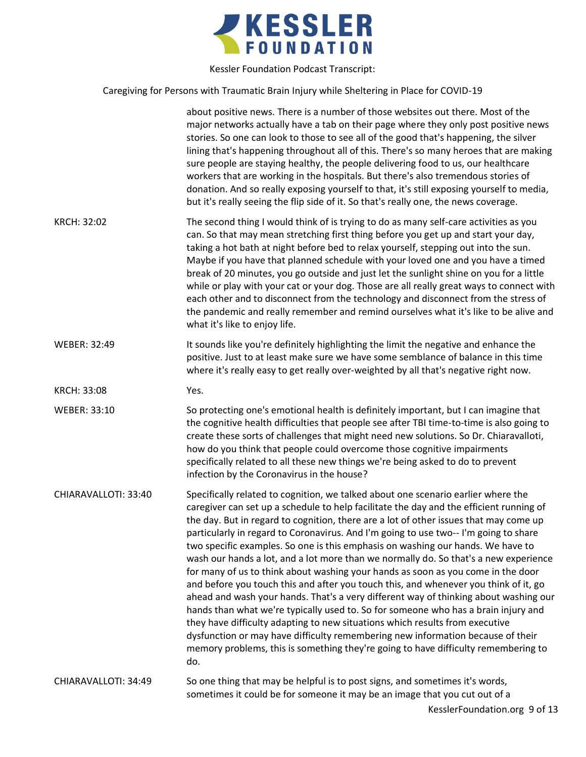

Caregiving for Persons with Traumatic Brain Injury while Sheltering in Place for COVID-19

|                      | about positive news. There is a number of those websites out there. Most of the<br>major networks actually have a tab on their page where they only post positive news<br>stories. So one can look to those to see all of the good that's happening, the silver<br>lining that's happening throughout all of this. There's so many heroes that are making<br>sure people are staying healthy, the people delivering food to us, our healthcare<br>workers that are working in the hospitals. But there's also tremendous stories of<br>donation. And so really exposing yourself to that, it's still exposing yourself to media,<br>but it's really seeing the flip side of it. So that's really one, the news coverage.                                                                                                                                                                                                                                                                                                                                                                                                                                           |
|----------------------|--------------------------------------------------------------------------------------------------------------------------------------------------------------------------------------------------------------------------------------------------------------------------------------------------------------------------------------------------------------------------------------------------------------------------------------------------------------------------------------------------------------------------------------------------------------------------------------------------------------------------------------------------------------------------------------------------------------------------------------------------------------------------------------------------------------------------------------------------------------------------------------------------------------------------------------------------------------------------------------------------------------------------------------------------------------------------------------------------------------------------------------------------------------------|
| <b>KRCH: 32:02</b>   | The second thing I would think of is trying to do as many self-care activities as you<br>can. So that may mean stretching first thing before you get up and start your day,<br>taking a hot bath at night before bed to relax yourself, stepping out into the sun.<br>Maybe if you have that planned schedule with your loved one and you have a timed<br>break of 20 minutes, you go outside and just let the sunlight shine on you for a little<br>while or play with your cat or your dog. Those are all really great ways to connect with<br>each other and to disconnect from the technology and disconnect from the stress of<br>the pandemic and really remember and remind ourselves what it's like to be alive and<br>what it's like to enjoy life.                                                                                                                                                                                                                                                                                                                                                                                                       |
| WEBER: 32:49         | It sounds like you're definitely highlighting the limit the negative and enhance the<br>positive. Just to at least make sure we have some semblance of balance in this time<br>where it's really easy to get really over-weighted by all that's negative right now.                                                                                                                                                                                                                                                                                                                                                                                                                                                                                                                                                                                                                                                                                                                                                                                                                                                                                                |
| <b>KRCH: 33:08</b>   | Yes.                                                                                                                                                                                                                                                                                                                                                                                                                                                                                                                                                                                                                                                                                                                                                                                                                                                                                                                                                                                                                                                                                                                                                               |
| <b>WEBER: 33:10</b>  | So protecting one's emotional health is definitely important, but I can imagine that<br>the cognitive health difficulties that people see after TBI time-to-time is also going to<br>create these sorts of challenges that might need new solutions. So Dr. Chiaravalloti,<br>how do you think that people could overcome those cognitive impairments<br>specifically related to all these new things we're being asked to do to prevent<br>infection by the Coronavirus in the house?                                                                                                                                                                                                                                                                                                                                                                                                                                                                                                                                                                                                                                                                             |
| CHIARAVALLOTI: 33:40 | Specifically related to cognition, we talked about one scenario earlier where the<br>caregiver can set up a schedule to help facilitate the day and the efficient running of<br>the day. But in regard to cognition, there are a lot of other issues that may come up<br>particularly in regard to Coronavirus. And I'm going to use two-- I'm going to share<br>two specific examples. So one is this emphasis on washing our hands. We have to<br>wash our hands a lot, and a lot more than we normally do. So that's a new experience<br>for many of us to think about washing your hands as soon as you come in the door<br>and before you touch this and after you touch this, and whenever you think of it, go<br>ahead and wash your hands. That's a very different way of thinking about washing our<br>hands than what we're typically used to. So for someone who has a brain injury and<br>they have difficulty adapting to new situations which results from executive<br>dysfunction or may have difficulty remembering new information because of their<br>memory problems, this is something they're going to have difficulty remembering to<br>do. |
| CHIARAVALLOTI: 34:49 | So one thing that may be helpful is to post signs, and sometimes it's words,<br>sometimes it could be for someone it may be an image that you cut out of a                                                                                                                                                                                                                                                                                                                                                                                                                                                                                                                                                                                                                                                                                                                                                                                                                                                                                                                                                                                                         |
|                      |                                                                                                                                                                                                                                                                                                                                                                                                                                                                                                                                                                                                                                                                                                                                                                                                                                                                                                                                                                                                                                                                                                                                                                    |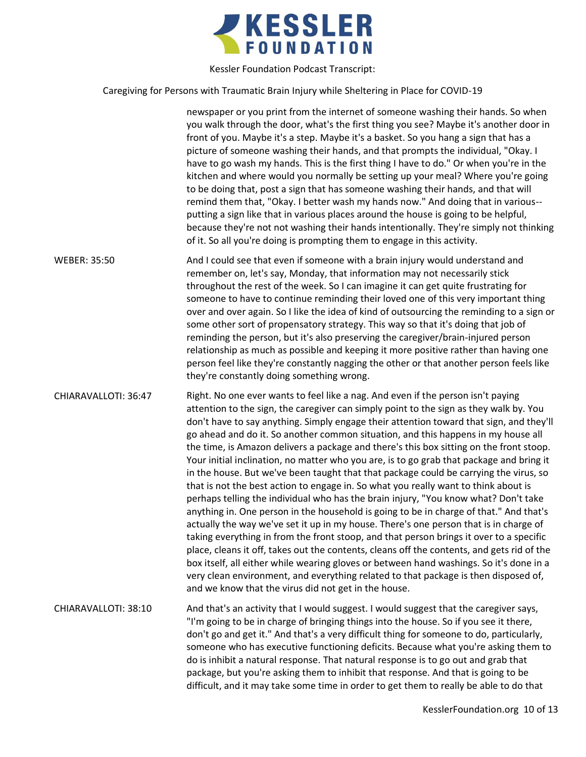

Caregiving for Persons with Traumatic Brain Injury while Sheltering in Place for COVID-19

newspaper or you print from the internet of someone washing their hands. So when you walk through the door, what's the first thing you see? Maybe it's another door in front of you. Maybe it's a step. Maybe it's a basket. So you hang a sign that has a picture of someone washing their hands, and that prompts the individual, "Okay. I have to go wash my hands. This is the first thing I have to do." Or when you're in the kitchen and where would you normally be setting up your meal? Where you're going to be doing that, post a sign that has someone washing their hands, and that will remind them that, "Okay. I better wash my hands now." And doing that in various- putting a sign like that in various places around the house is going to be helpful, because they're not not washing their hands intentionally. They're simply not thinking of it. So all you're doing is prompting them to engage in this activity.

WEBER: 35:50 And I could see that even if someone with a brain injury would understand and remember on, let's say, Monday, that information may not necessarily stick throughout the rest of the week. So I can imagine it can get quite frustrating for someone to have to continue reminding their loved one of this very important thing over and over again. So I like the idea of kind of outsourcing the reminding to a sign or some other sort of propensatory strategy. This way so that it's doing that job of reminding the person, but it's also preserving the caregiver/brain-injured person relationship as much as possible and keeping it more positive rather than having one person feel like they're constantly nagging the other or that another person feels like they're constantly doing something wrong.

CHIARAVALLOTI: 36:47 Right. No one ever wants to feel like a nag. And even if the person isn't paying attention to the sign, the caregiver can simply point to the sign as they walk by. You don't have to say anything. Simply engage their attention toward that sign, and they'll go ahead and do it. So another common situation, and this happens in my house all the time, is Amazon delivers a package and there's this box sitting on the front stoop. Your initial inclination, no matter who you are, is to go grab that package and bring it in the house. But we've been taught that that package could be carrying the virus, so that is not the best action to engage in. So what you really want to think about is perhaps telling the individual who has the brain injury, "You know what? Don't take anything in. One person in the household is going to be in charge of that." And that's actually the way we've set it up in my house. There's one person that is in charge of taking everything in from the front stoop, and that person brings it over to a specific place, cleans it off, takes out the contents, cleans off the contents, and gets rid of the box itself, all either while wearing gloves or between hand washings. So it's done in a very clean environment, and everything related to that package is then disposed of, and we know that the virus did not get in the house.

CHIARAVALLOTI: 38:10 And that's an activity that I would suggest. I would suggest that the caregiver says, "I'm going to be in charge of bringing things into the house. So if you see it there, don't go and get it." And that's a very difficult thing for someone to do, particularly, someone who has executive functioning deficits. Because what you're asking them to do is inhibit a natural response. That natural response is to go out and grab that package, but you're asking them to inhibit that response. And that is going to be difficult, and it may take some time in order to get them to really be able to do that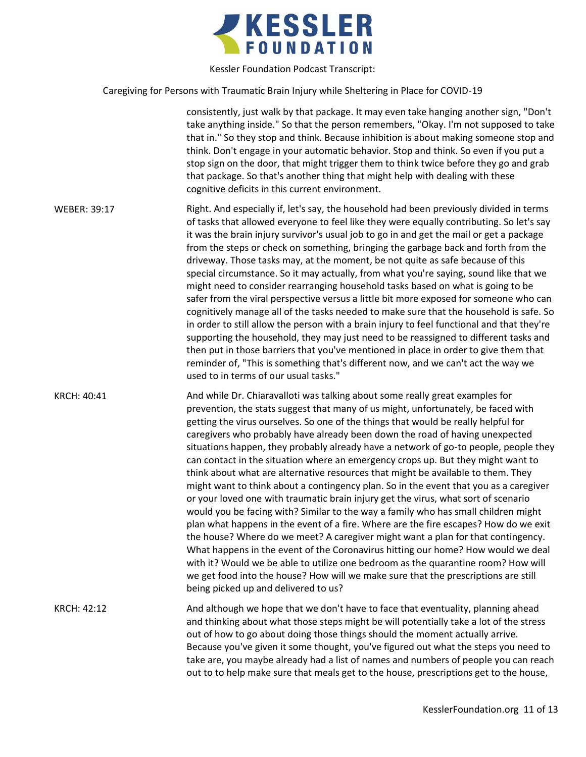

Caregiving for Persons with Traumatic Brain Injury while Sheltering in Place for COVID-19

consistently, just walk by that package. It may even take hanging another sign, "Don't take anything inside." So that the person remembers, "Okay. I'm not supposed to take that in." So they stop and think. Because inhibition is about making someone stop and think. Don't engage in your automatic behavior. Stop and think. So even if you put a stop sign on the door, that might trigger them to think twice before they go and grab that package. So that's another thing that might help with dealing with these cognitive deficits in this current environment.

WEBER: 39:17 Right. And especially if, let's say, the household had been previously divided in terms of tasks that allowed everyone to feel like they were equally contributing. So let's say it was the brain injury survivor's usual job to go in and get the mail or get a package from the steps or check on something, bringing the garbage back and forth from the driveway. Those tasks may, at the moment, be not quite as safe because of this special circumstance. So it may actually, from what you're saying, sound like that we might need to consider rearranging household tasks based on what is going to be safer from the viral perspective versus a little bit more exposed for someone who can cognitively manage all of the tasks needed to make sure that the household is safe. So in order to still allow the person with a brain injury to feel functional and that they're supporting the household, they may just need to be reassigned to different tasks and then put in those barriers that you've mentioned in place in order to give them that reminder of, "This is something that's different now, and we can't act the way we used to in terms of our usual tasks."

KRCH: 40:41 And while Dr. Chiaravalloti was talking about some really great examples for prevention, the stats suggest that many of us might, unfortunately, be faced with getting the virus ourselves. So one of the things that would be really helpful for caregivers who probably have already been down the road of having unexpected situations happen, they probably already have a network of go-to people, people they can contact in the situation where an emergency crops up. But they might want to think about what are alternative resources that might be available to them. They might want to think about a contingency plan. So in the event that you as a caregiver or your loved one with traumatic brain injury get the virus, what sort of scenario would you be facing with? Similar to the way a family who has small children might plan what happens in the event of a fire. Where are the fire escapes? How do we exit the house? Where do we meet? A caregiver might want a plan for that contingency. What happens in the event of the Coronavirus hitting our home? How would we deal with it? Would we be able to utilize one bedroom as the quarantine room? How will we get food into the house? How will we make sure that the prescriptions are still being picked up and delivered to us?

KRCH: 42:12 And although we hope that we don't have to face that eventuality, planning ahead and thinking about what those steps might be will potentially take a lot of the stress out of how to go about doing those things should the moment actually arrive. Because you've given it some thought, you've figured out what the steps you need to take are, you maybe already had a list of names and numbers of people you can reach out to to help make sure that meals get to the house, prescriptions get to the house,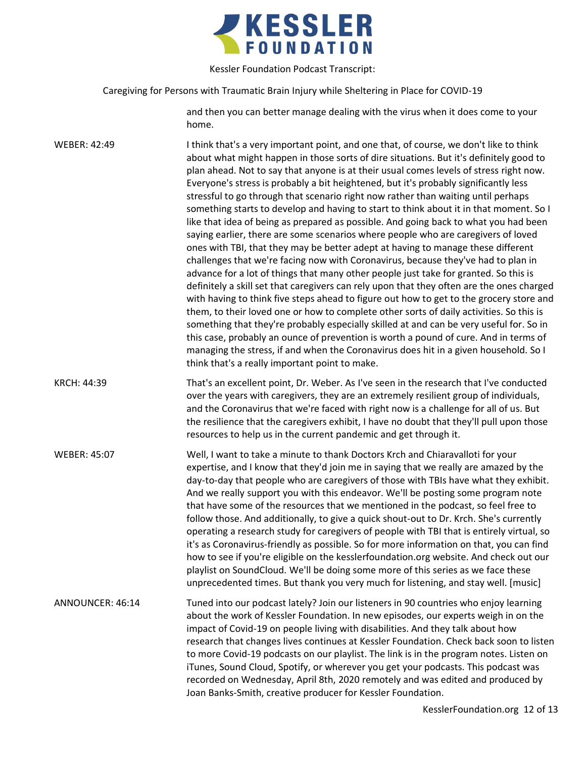

Caregiving for Persons with Traumatic Brain Injury while Sheltering in Place for COVID-19

and then you can better manage dealing with the virus when it does come to your home.

WEBER: 42:49 I think that's a very important point, and one that, of course, we don't like to think about what might happen in those sorts of dire situations. But it's definitely good to plan ahead. Not to say that anyone is at their usual comes levels of stress right now. Everyone's stress is probably a bit heightened, but it's probably significantly less stressful to go through that scenario right now rather than waiting until perhaps something starts to develop and having to start to think about it in that moment. So I like that idea of being as prepared as possible. And going back to what you had been saying earlier, there are some scenarios where people who are caregivers of loved ones with TBI, that they may be better adept at having to manage these different challenges that we're facing now with Coronavirus, because they've had to plan in advance for a lot of things that many other people just take for granted. So this is definitely a skill set that caregivers can rely upon that they often are the ones charged with having to think five steps ahead to figure out how to get to the grocery store and them, to their loved one or how to complete other sorts of daily activities. So this is something that they're probably especially skilled at and can be very useful for. So in this case, probably an ounce of prevention is worth a pound of cure. And in terms of managing the stress, if and when the Coronavirus does hit in a given household. So I think that's a really important point to make.

KRCH: 44:39 That's an excellent point, Dr. Weber. As I've seen in the research that I've conducted over the years with caregivers, they are an extremely resilient group of individuals, and the Coronavirus that we're faced with right now is a challenge for all of us. But the resilience that the caregivers exhibit, I have no doubt that they'll pull upon those resources to help us in the current pandemic and get through it.

WEBER: 45:07 Well, I want to take a minute to thank Doctors Krch and Chiaravalloti for your expertise, and I know that they'd join me in saying that we really are amazed by the day-to-day that people who are caregivers of those with TBIs have what they exhibit. And we really support you with this endeavor. We'll be posting some program note that have some of the resources that we mentioned in the podcast, so feel free to follow those. And additionally, to give a quick shout-out to Dr. Krch. She's currently operating a research study for caregivers of people with TBI that is entirely virtual, so it's as Coronavirus-friendly as possible. So for more information on that, you can find how to see if you're eligible on the kesslerfoundation.org website. And check out our playlist on SoundCloud. We'll be doing some more of this series as we face these unprecedented times. But thank you very much for listening, and stay well. [music]

ANNOUNCER: 46:14 Tuned into our podcast lately? Join our listeners in 90 countries who enjoy learning about the work of Kessler Foundation. In new episodes, our experts weigh in on the impact of Covid-19 on people living with disabilities. And they talk about how research that changes lives continues at Kessler Foundation. Check back soon to listen to more Covid-19 podcasts on our playlist. The link is in the program notes. Listen on iTunes, Sound Cloud, Spotify, or wherever you get your podcasts. This podcast was recorded on Wednesday, April 8th, 2020 remotely and was edited and produced by Joan Banks-Smith, creative producer for Kessler Foundation.